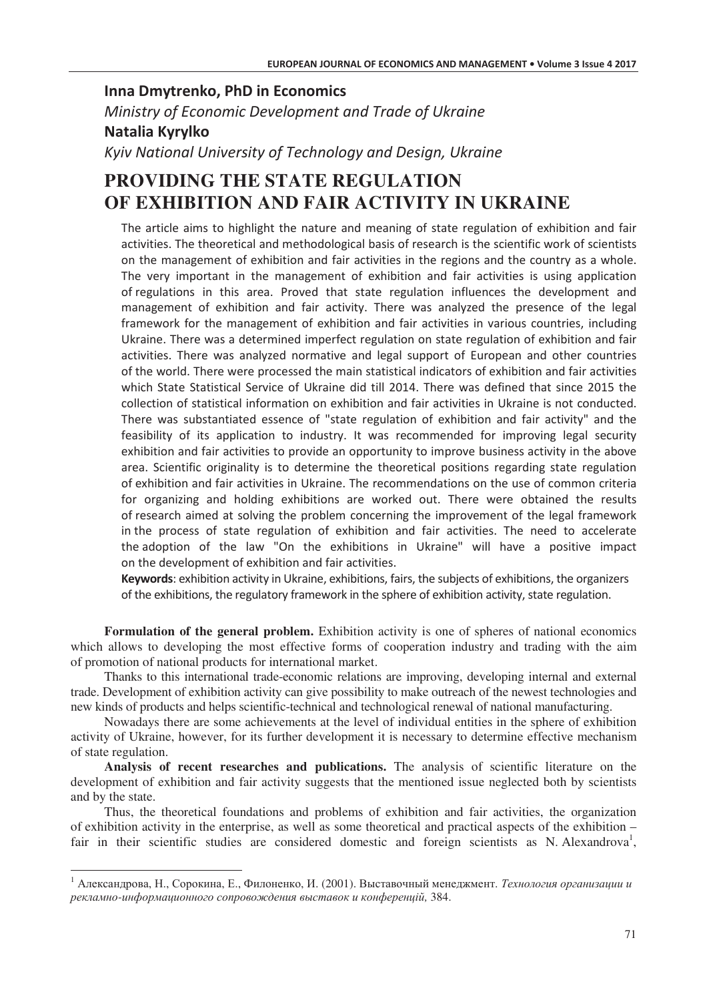## **Inna Dmytrenko, PhD in Economics** *Ministry of Economic Development and Trade of Ukraine* **Natalia Kyrylko Kyiv National University of Technology and Design, Ukraine**

## **PROVIDING THE STATE REGULATION OF EXHIBITION AND FAIR ACTIVITY IN UKRAINE**

The article aims to highlight the nature and meaning of state regulation of exhibition and fair activities. The theoretical and methodological basis of research is the scientific work of scientists on the management of exhibition and fair activities in the regions and the country as a whole. The very important in the management of exhibition and fair activities is using application of regulations in this area. Proved that state regulation influences the development and management of exhibition and fair activity. There was analyzed the presence of the legal framework for the management of exhibition and fair activities in various countries, including Ukraine. There was a determined imperfect regulation on state regulation of exhibition and fair activities. There was analyzed normative and legal support of European and other countries of the world. There were processed the main statistical indicators of exhibition and fair activities which State Statistical Service of Ukraine did till 2014. There was defined that since 2015 the collection of statistical information on exhibition and fair activities in Ukraine is not conducted. There was substantiated essence of "state regulation of exhibition and fair activity" and the feasibility of its application to industry. It was recommended for improving legal security exhibition and fair activities to provide an opportunity to improve business activity in the above area. Scientific originality is to determine the theoretical positions regarding state regulation of exhibition and fair activities in Ukraine. The recommendations on the use of common criteria for organizing and holding exhibitions are worked out. There were obtained the results of research aimed at solving the problem concerning the improvement of the legal framework in the process of state regulation of exhibition and fair activities. The need to accelerate the adoption of the law "On the exhibitions in Ukraine" will have a positive impact on the development of exhibition and fair activities.

Keywords: exhibition activity in Ukraine, exhibitions, fairs, the subjects of exhibitions, the organizers of the exhibitions, the regulatory framework in the sphere of exhibition activity, state regulation.

**Formulation of the general problem.** Exhibition activity is one of spheres of national economics which allows to developing the most effective forms of cooperation industry and trading with the aim of promotion of national products for international market.

Thanks to this international trade-economic relations are improving, developing internal and external trade. Development of exhibition activity can give possibility to make outreach of the newest technologies and new kinds of products and helps scientific-technical and technological renewal of national manufacturing.

Nowadays there are some achievements at the level of individual entities in the sphere of exhibition activity of Ukraine, however, for its further development it is necessary to determine effective mechanism of state regulation.

**Analysis of recent researches and publications.** The analysis of scientific literature on the development of exhibition and fair activity suggests that the mentioned issue neglected both by scientists and by the state.

Thus, the theoretical foundations and problems of exhibition and fair activities, the organization of exhibition activity in the enterprise, as well as some theoretical and practical aspects of the exhibition – fair in their scientific studies are considered domestic and foreign scientists as N. Alexandrova<sup>1</sup>,

 $^1$  Александрова, Н., Сорокина, Е., Филоненко, И. (2001). Выставочный менеджмент. *Технология организации и* рекламно-информационного сопровождения выставок и конференцій, 384.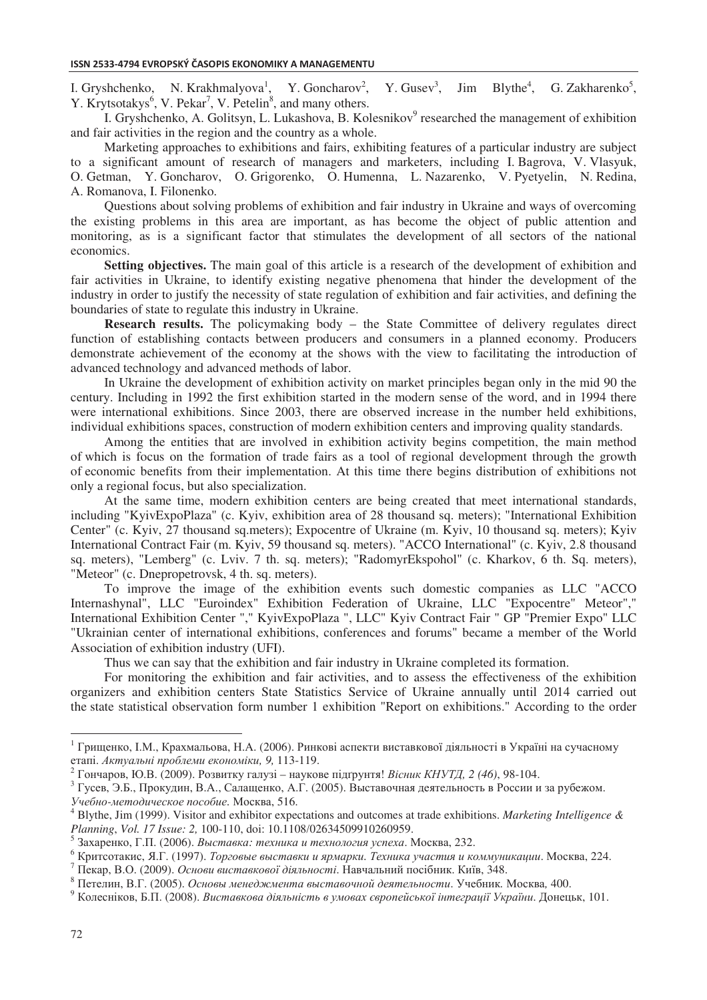I. Gryshchenko, N. Krakhmalyova<sup>1</sup>, Y. Goncharov<sup>2</sup>,  $Y. Gusev<sup>3</sup>$ .  $Jim$  Blythe<sup>4</sup>,  $,$  G. Zakharenko<sup>5</sup>, Y. Krytsotakys<sup>6</sup>, V. Pekar<sup>7</sup>, V. Petelin<sup>8</sup>, and many others.

I. Gryshchenko, A. Golitsyn, L. Lukashova, B. Kolesnikov<sup>9</sup> researched the management of exhibition and fair activities in the region and the country as a whole.

Marketing approaches to exhibitions and fairs, exhibiting features of a particular industry are subject to a significant amount of research of managers and marketers, including I. Bagrova, V. Vlasyuk, O. Getman, Y. Goncharov, O. Grigorenko, O. Humenna, L. Nazarenko, V. Pyetyelin, N. Redina, A. Romanova, I. Filonenko.

Questions about solving problems of exhibition and fair industry in Ukraine and ways of overcoming the existing problems in this area are important, as has become the object of public attention and monitoring, as is a significant factor that stimulates the development of all sectors of the national economics.

**Setting objectives.** The main goal of this article is a research of the development of exhibition and fair activities in Ukraine, to identify existing negative phenomena that hinder the development of the industry in order to justify the necessity of state regulation of exhibition and fair activities, and defining the boundaries of state to regulate this industry in Ukraine.

**Research results.** The policymaking body – the State Committee of delivery regulates direct function of establishing contacts between producers and consumers in a planned economy. Producers demonstrate achievement of the economy at the shows with the view to facilitating the introduction of advanced technology and advanced methods of labor.

In Ukraine the development of exhibition activity on market principles began only in the mid 90 the century. Including in 1992 the first exhibition started in the modern sense of the word, and in 1994 there were international exhibitions. Since 2003, there are observed increase in the number held exhibitions, individual exhibitions spaces, construction of modern exhibition centers and improving quality standards.

Among the entities that are involved in exhibition activity begins competition, the main method of which is focus on the formation of trade fairs as a tool of regional development through the growth of economic benefits from their implementation. At this time there begins distribution of exhibitions not only a regional focus, but also specialization.

At the same time, modern exhibition centers are being created that meet international standards, including "KyivExpoPlaza" (c. Kyiv, exhibition area of 28 thousand sq. meters); "International Exhibition Center" (c. Kyiv, 27 thousand sq.meters); Expocentre of Ukraine (m. Kyiv, 10 thousand sq. meters); Kyiv International Contract Fair (m. Kyiv, 59 thousand sq. meters). "ACCO International" (c. Kyiv, 2.8 thousand sq. meters), "Lemberg" (c. Lviv. 7 th. sq. meters); "RadomyrEkspohol" (c. Kharkov, 6 th. Sq. meters), "Meteor" (c. Dnepropetrovsk, 4 th. sq. meters).

To improve the image of the exhibition events such domestic companies as LLC "ACCO Internashynal", LLC "Euroindex" Exhibition Federation of Ukraine, LLC "Expocentre" Meteor"," International Exhibition Center "," KyivExpoPlaza ", LLC" Kyiv Contract Fair " GP "Premier Expo" LLC "Ukrainian center of international exhibitions, conferences and forums" became a member of the World Association of exhibition industry (UFI).

Thus we can say that the exhibition and fair industry in Ukraine completed its formation.

For monitoring the exhibition and fair activities, and to assess the effectiveness of the exhibition organizers and exhibition centers State Statistics Service of Ukraine annually until 2014 carried out the state statistical observation form number 1 exhibition "Report on exhibitions." According to the order

 $^1$  Грищенко, І.М., Крахмальова, Н.А. (2006). Ринкові аспекти виставкової діяльності в Україні на сучасному етапі. Актуальні проблеми економіки, 9, 113-119.

<sup>&</sup>lt;sup>2</sup> Гончаров, Ю.В. (2009). Розвитку галузі – наукове підґрунтя! *Вісник КНУТД*, 2 (46), 98-104.

<sup>&</sup>lt;sup>3</sup> Гусев, Э.Б., Прокудин, В.А., Салащенко, А.Г. (2005). Выставочная деятельность в России и за рубежом. *чебно-методическое пособие. Москва, 516.* 

<sup>4</sup> Blythe, Jim (1999). Visitor and exhibitor expectations and outcomes at trade exhibitions. *Marketing Intelligence & Planning, Vol. 17 Issue: 2,* 100-110, doi: 10.1108/02634509910260959.<br><sup>5</sup> 3 axanatus: F.H. (2006), *Busmasus: maxuuus u maxuanaya yanaxa* A

Захаренко, Г.П. (2006). *Выставка: техника и технология успеха*. Москва, 232.

 $^6$  Критсотакис, Я.Г. (1997). *Торговые выставки и ярмарки. Техника участия и коммуникации.* Москва, 224.

 $^7$  Пекар, В.О. (2009). Основи виставкової діяльності. Навчальний посібник. Київ, 348.

 $^8$  Петелин, В.Г. (2005). *Основы менеджмента выставочной деятельности*. Учебник. Москва, 400.

<sup>&</sup>lt;sup>9</sup> Колесніков, Б.П. (2008). *Виставкова діяльність в умовах європейської інтеграції України. Донецьк, 101.*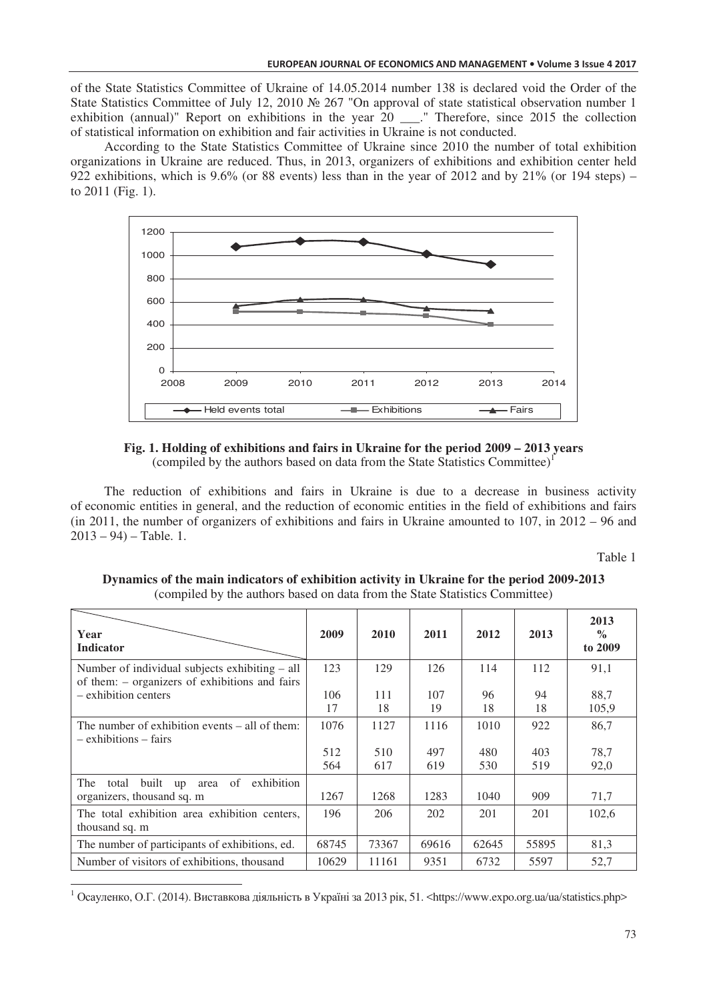of the State Statistics Committee of Ukraine of 14.05.2014 number 138 is declared void the Order of the State Statistics Committee of July 12, 2010  $\mathcal{N}$  267 "On approval of state statistical observation number 1 exhibition (annual)" Report on exhibitions in the year 20 \_\_\_." Therefore, since 2015 the collection of statistical information on exhibition and fair activities in Ukraine is not conducted.

According to the State Statistics Committee of Ukraine since 2010 the number of total exhibition organizations in Ukraine are reduced. Thus, in 2013, organizers of exhibitions and exhibition center held 922 exhibitions, which is 9.6% (or 88 events) less than in the year of 2012 and by 21% (or 194 steps) – to 2011 (Fig. 1).



**Fig. 1. Holding of exhibitions and fairs in Ukraine for the period 2009 – 2013 years**  (compiled by the authors based on data from the State Statistics Committee)<sup>1</sup>

The reduction of exhibitions and fairs in Ukraine is due to a decrease in business activity of economic entities in general, and the reduction of economic entities in the field of exhibitions and fairs (in 2011, the number of organizers of exhibitions and fairs in Ukraine amounted to 107, in 2012 – 96 and  $2013 - 94$ ) – Table. 1.

Table 1

| Year<br><b>Indicator</b>                                                                         | 2009       | 2010       | 2011       | 2012       | 2013       | 2013<br>$\%$<br>to 2009 |
|--------------------------------------------------------------------------------------------------|------------|------------|------------|------------|------------|-------------------------|
| Number of individual subjects exhibiting - all<br>of them: – organizers of exhibitions and fairs | 123        | 129        | 126        | 114        | 112        | 91,1                    |
| - exhibition centers                                                                             | 106<br>17  | 111<br>18  | 107<br>19  | 96<br>18   | 94<br>18   | 88,7<br>105,9           |
| The number of exhibition events $-$ all of them:<br>$-$ exhibitions $-$ fairs                    | 1076       | 1127       | 1116       | 1010       | 922        | 86,7                    |
|                                                                                                  | 512<br>564 | 510<br>617 | 497<br>619 | 480<br>530 | 403<br>519 | 78,7<br>92,0            |
| The<br>built up area<br>of<br>exhibition<br>total<br>organizers, thousand sq. m                  | 1267       | 1268       | 1283       | 1040       | 909        | 71,7                    |
| The total exhibition area exhibition centers.<br>thousand sq. m                                  | 196        | 206        | 202        | 201        | 201        | 102,6                   |
| The number of participants of exhibitions, ed.                                                   | 68745      | 73367      | 69616      | 62645      | 55895      | 81,3                    |
| Number of visitors of exhibitions, thousand                                                      | 10629      | 11161      | 9351       | 6732       | 5597       | 52,7                    |

**Dynamics of the main indicators of exhibition activity in Ukraine for the period 2009-2013**  (compiled by the authors based on data from the State Statistics Committee)

<sup>1</sup> Осауленко, О.Г. (2014). Виставкова діяльність в Україні за 2013 рік, 51. <https://www.expo.org.ua/ua/statistics.php>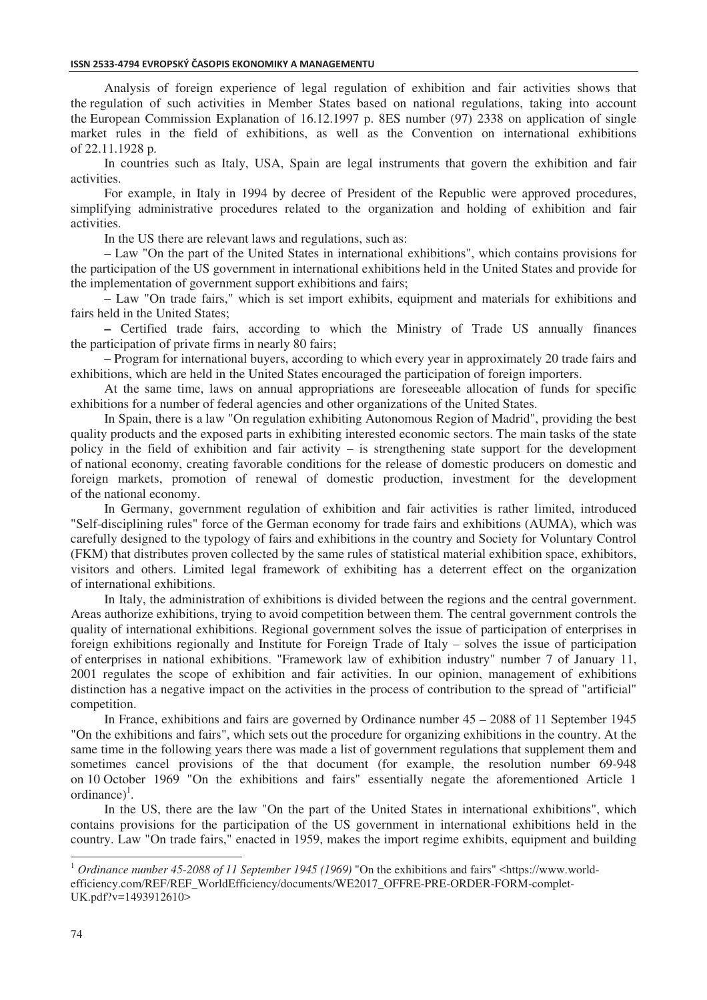Analysis of foreign experience of legal regulation of exhibition and fair activities shows that the regulation of such activities in Member States based on national regulations, taking into account the European Commission Explanation of 16.12.1997 p. 8ES number (97) 2338 on application of single market rules in the field of exhibitions, as well as the Convention on international exhibitions of 22.11.1928 p.

In countries such as Italy, USA, Spain are legal instruments that govern the exhibition and fair activities.

For example, in Italy in 1994 by decree of President of the Republic were approved procedures, simplifying administrative procedures related to the organization and holding of exhibition and fair activities.

In the US there are relevant laws and regulations, such as:

– Law "On the part of the United States in international exhibitions", which contains provisions for the participation of the US government in international exhibitions held in the United States and provide for the implementation of government support exhibitions and fairs;

– Law "On trade fairs," which is set import exhibits, equipment and materials for exhibitions and fairs held in the United States;

*–* Certified trade fairs, according to which the Ministry of Trade US annually finances the participation of private firms in nearly 80 fairs;

– Program for international buyers, according to which every year in approximately 20 trade fairs and exhibitions, which are held in the United States encouraged the participation of foreign importers.

At the same time, laws on annual appropriations are foreseeable allocation of funds for specific exhibitions for a number of federal agencies and other organizations of the United States.

In Spain, there is a law "On regulation exhibiting Autonomous Region of Madrid", providing the best quality products and the exposed parts in exhibiting interested economic sectors. The main tasks of the state policy in the field of exhibition and fair activity – is strengthening state support for the development of national economy, creating favorable conditions for the release of domestic producers on domestic and foreign markets, promotion of renewal of domestic production, investment for the development of the national economy.

In Germany, government regulation of exhibition and fair activities is rather limited, introduced "Self-disciplining rules" force of the German economy for trade fairs and exhibitions (AUMA), which was carefully designed to the typology of fairs and exhibitions in the country and Society for Voluntary Control (FKM) that distributes proven collected by the same rules of statistical material exhibition space, exhibitors, visitors and others. Limited legal framework of exhibiting has a deterrent effect on the organization of international exhibitions.

In Italy, the administration of exhibitions is divided between the regions and the central government. Areas authorize exhibitions, trying to avoid competition between them. The central government controls the quality of international exhibitions. Regional government solves the issue of participation of enterprises in foreign exhibitions regionally and Institute for Foreign Trade of Italy – solves the issue of participation of enterprises in national exhibitions. "Framework law of exhibition industry" number 7 of January 11, 2001 regulates the scope of exhibition and fair activities. In our opinion, management of exhibitions distinction has a negative impact on the activities in the process of contribution to the spread of "artificial" competition.

In France, exhibitions and fairs are governed by Ordinance number 45 – 2088 of 11 September 1945 "On the exhibitions and fairs", which sets out the procedure for organizing exhibitions in the country. At the same time in the following years there was made a list of government regulations that supplement them and sometimes cancel provisions of the that document (for example, the resolution number 69-948 on 10 October 1969 "On the exhibitions and fairs" essentially negate the aforementioned Article 1 ordinance $)^{1}$ .

In the US, there are the law "On the part of the United States in international exhibitions", which contains provisions for the participation of the US government in international exhibitions held in the country. Law "On trade fairs," enacted in 1959, makes the import regime exhibits, equipment and building

<sup>&</sup>lt;sup>1</sup> *Ordinance number 45-2088 of 11 September 1945 (1969)* "On the exhibitions and fairs" <https://www.worldefficiency.com/REF/REF\_WorldEfficiency/documents/WE2017\_OFFRE-PRE-ORDER-FORM-complet-UK.pdf?v=1493912610>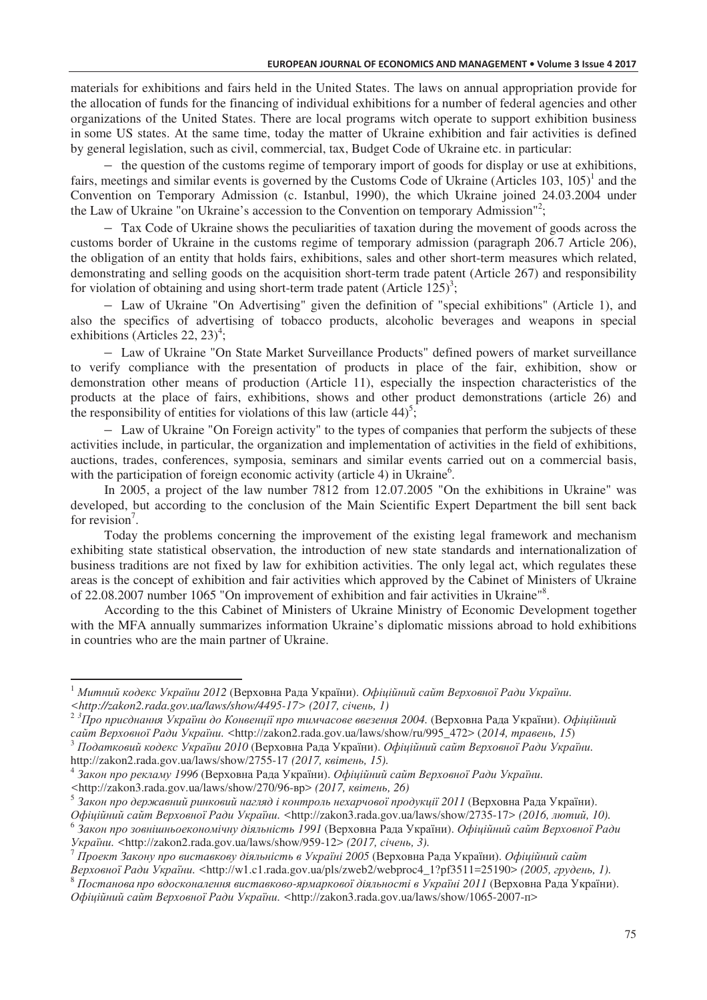materials for exhibitions and fairs held in the United States. The laws on annual appropriation provide for the allocation of funds for the financing of individual exhibitions for a number of federal agencies and other organizations of the United States. There are local programs witch operate to support exhibition business in some US states. At the same time, today the matter of Ukraine exhibition and fair activities is defined by general legislation, such as civil, commercial, tax, Budget Code of Ukraine etc. in particular:

– the question of the customs regime of temporary import of goods for display or use at exhibitions, fairs, meetings and similar events is governed by the Customs Code of Ukraine (Articles  $103$ ,  $105$ )<sup>1</sup> and the Convention on Temporary Admission (c. Istanbul, 1990), the which Ukraine joined 24.03.2004 under the Law of Ukraine "on Ukraine's accession to the Convention on temporary Admission"<sup>2</sup>;

– Tax Code of Ukraine shows the peculiarities of taxation during the movement of goods across the customs border of Ukraine in the customs regime of temporary admission (paragraph 206.7 Article 206), the obligation of an entity that holds fairs, exhibitions, sales and other short-term measures which related, demonstrating and selling goods on the acquisition short-term trade patent (Article 267) and responsibility for violation of obtaining and using short-term trade patent (Article  $125$ )<sup>3</sup>;

– Law of Ukraine "On Advertising" given the definition of "special exhibitions" (Article 1), and also the specifics of advertising of tobacco products, alcoholic beverages and weapons in special exhibitions (Articles 22, 23)<sup>4</sup>;

– Law of Ukraine "On State Market Surveillance Products" defined powers of market surveillance to verify compliance with the presentation of products in place of the fair, exhibition, show or demonstration other means of production (Article 11), especially the inspection characteristics of the products at the place of fairs, exhibitions, shows and other product demonstrations (article 26) and the responsibility of entities for violations of this law (article  $44$ )<sup>5</sup>;

– Law of Ukraine "On Foreign activity" to the types of companies that perform the subjects of these activities include, in particular, the organization and implementation of activities in the field of exhibitions, auctions, trades, conferences, symposia, seminars and similar events carried out on a commercial basis, with the participation of foreign economic activity (article 4) in Ukraine<sup>6</sup>.

In 2005, a project of the law number 7812 from 12.07.2005 "On the exhibitions in Ukraine" was developed, but according to the conclusion of the Main Scientific Expert Department the bill sent back for revision<sup>7</sup>.

Today the problems concerning the improvement of the existing legal framework and mechanism exhibiting state statistical observation, the introduction of new state standards and internationalization of business traditions are not fixed by law for exhibition activities. The only legal act, which regulates these areas is the concept of exhibition and fair activities which approved by the Cabinet of Ministers of Ukraine of 22.08.2007 number 1065 "On improvement of exhibition and fair activities in Ukraine"<sup>8</sup> .

According to the this Cabinet of Ministers of Ukraine Ministry of Economic Development together with the MFA annually summarizes information Ukraine's diplomatic missions abroad to hold exhibitions in countries who are the main partner of Ukraine.

 $^1$  Митний кодекс України 2012 (Верховна Рада України). Офіційний сайт Верховної Ради України. <http://zakon2.rada.gov.ua/laws/show/4495-17> (2017, січень, 1)

 $^2$  <sup>3</sup>Про приєднання України до Конвенції про тимчасове ввезення 2004. (Верховна Рада України). Офіційний *caйт Верховної Ради України.* <http://zakon2.rada.gov.ua/laws/show/ru/995\_472> (2014, травень, 15)

 $^3$  Податковий кодекс України 2010 (Верховна Рада України). Офіційний сайт Верховної Ради України. http://zakon2.rada.gov.ua/laws/show/2755-17 *(2017, квітень, 15).* 

<sup>4</sup> Закон про рекламу 1996 (Верховна Рада України). *Офіційний сайт Верховної Ради України*.

<sup>&</sup>lt;http://zakon3.rada.gov.ua/laws/show/270/96-вр> (2017, квітень, 26)

<sup>&</sup>lt;sup>5</sup> Закон про державний ринковий нагляд і контроль нехарчової продукції 2011 (Верховна Рада України).

Офіційний сайт Верховної Ради України. <http://zakon3.rada.gov.ua/laws/show/2735-17> (2016, лютий, 10). 6 Закон про зовнішньоекономічну діяльність 1991 (Верховна Рада України). *Офіційний сайт Верховної Ради* 

*<sup>. &</sup>lt;*http://zakon2.rada.gov.ua/laws/show/959-12> *(2017, - , 3).*

 $^7$   $\bar{H}$ роект Закону про виставкову діяльність в Україні 2005 (Верховна Рада України). Офіційний сайт *Bepховної Ради України*, <http://w1.c1.rada.gov.ua/pls/zweb2/webproc4\_1?pf3511=25190> (2005, *грудень, 1*).

 $^8$  Постанова про вдосконалення виставково-ярмаркової діяльності в Україні 2011 (Верховна Рада України).

Офіційний сайт Верховної Ради України. <http://zakon3.rada.gov.ua/laws/show/1065-2007-п>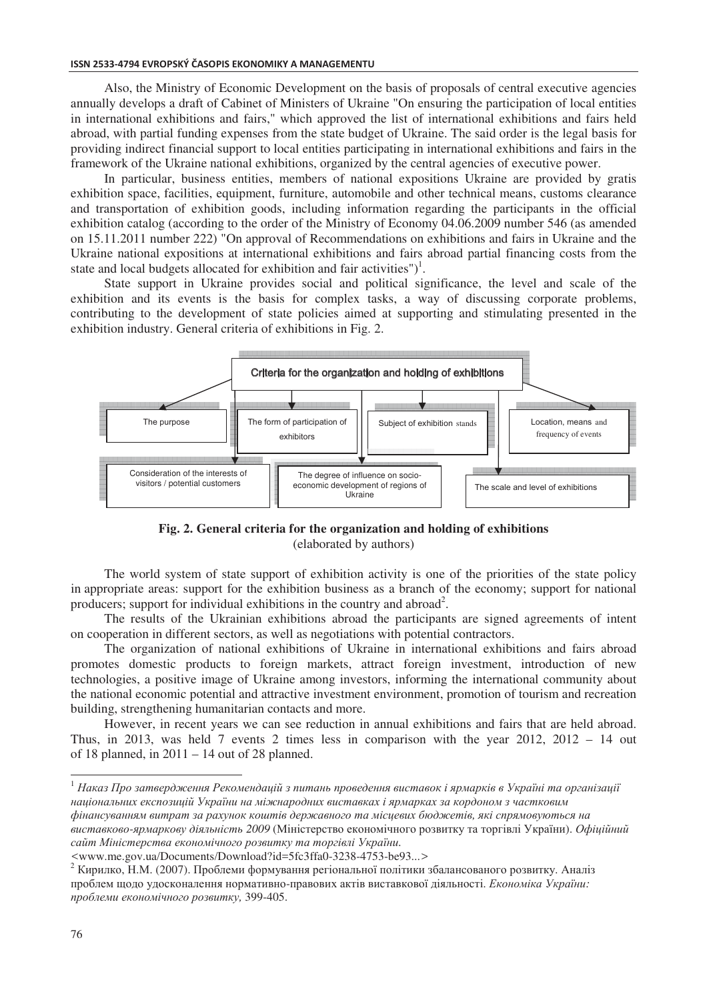Also, the Ministry of Economic Development on the basis of proposals of central executive agencies annually develops a draft of Cabinet of Ministers of Ukraine "On ensuring the participation of local entities in international exhibitions and fairs," which approved the list of international exhibitions and fairs held abroad, with partial funding expenses from the state budget of Ukraine. The said order is the legal basis for providing indirect financial support to local entities participating in international exhibitions and fairs in the framework of the Ukraine national exhibitions, organized by the central agencies of executive power.

In particular, business entities, members of national expositions Ukraine are provided by gratis exhibition space, facilities, equipment, furniture, automobile and other technical means, customs clearance and transportation of exhibition goods, including information regarding the participants in the official exhibition catalog (according to the order of the Ministry of Economy 04.06.2009 number 546 (as amended on 15.11.2011 number 222) "On approval of Recommendations on exhibitions and fairs in Ukraine and the Ukraine national expositions at international exhibitions and fairs abroad partial financing costs from the state and local budgets allocated for exhibition and fair activities")<sup>1</sup>.

State support in Ukraine provides social and political significance, the level and scale of the exhibition and its events is the basis for complex tasks, a way of discussing corporate problems, contributing to the development of state policies aimed at supporting and stimulating presented in the exhibition industry. General criteria of exhibitions in Fig. 2.



**Fig. 2. General criteria for the organization and holding of exhibitions** (elaborated by authors)

The world system of state support of exhibition activity is one of the priorities of the state policy in appropriate areas: support for the exhibition business as a branch of the economy; support for national producers; support for individual exhibitions in the country and abroad<sup>2</sup>.

The results of the Ukrainian exhibitions abroad the participants are signed agreements of intent on cooperation in different sectors, as well as negotiations with potential contractors.

The organization of national exhibitions of Ukraine in international exhibitions and fairs abroad promotes domestic products to foreign markets, attract foreign investment, introduction of new technologies, a positive image of Ukraine among investors, informing the international community about the national economic potential and attractive investment environment, promotion of tourism and recreation building, strengthening humanitarian contacts and more.

However, in recent years we can see reduction in annual exhibitions and fairs that are held abroad. Thus, in 2013, was held 7 events 2 times less in comparison with the year 2012, 2012 – 14 out of 18 planned, in  $2011 - 14$  out of 28 planned.

 $^1$  Наказ Про затвердження Рекомендацій з питань проведення виставок і ярмарків в Україні та організації національних експозицій України на міжнародних виставках і ярмарках за кордоном з частковим фінансуванням витрат за рахунок коштів державного та місцевих бюджетів, які спрямовуються на ви*ставково-ярмаркову діяльність 2009* (Міністерство економічного розвитку та торгівлі України). *Офіційний* 

сайт Міністерства економічного розвитку та торгівлі України. *<*www.me.gov.ua/Documents/Download?id=5fc3ffa0-3238-4753-be93...*>*

 $^2$  Кирилко, Н.М. (2007). Проблеми формування регіональної політики збалансованого розвитку. Аналіз проблем щодо удосконалення нормативно-правових актів виставкової діяльності. *Економіка України: 
,* 399-405.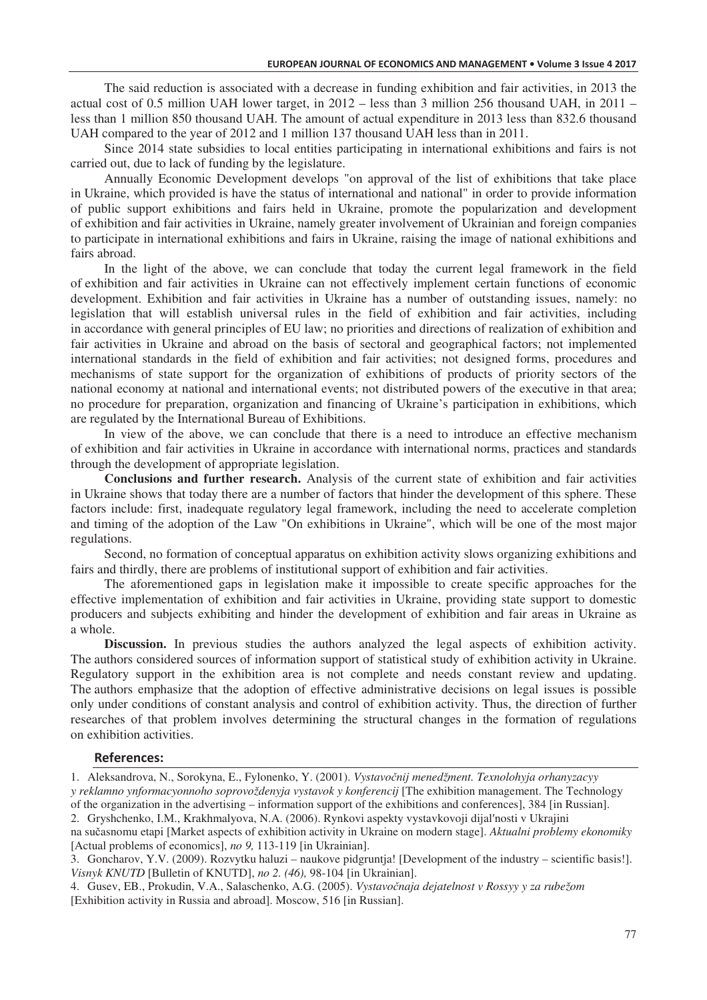The said reduction is associated with a decrease in funding exhibition and fair activities, in 2013 the actual cost of 0.5 million UAH lower target, in 2012 – less than 3 million 256 thousand UAH, in 2011 – less than 1 million 850 thousand UAH. The amount of actual expenditure in 2013 less than 832.6 thousand UAH compared to the year of 2012 and 1 million 137 thousand UAH less than in 2011.

Since 2014 state subsidies to local entities participating in international exhibitions and fairs is not carried out, due to lack of funding by the legislature.

Annually Economic Development develops "on approval of the list of exhibitions that take place in Ukraine, which provided is have the status of international and national" in order to provide information of public support exhibitions and fairs held in Ukraine, promote the popularization and development of exhibition and fair activities in Ukraine, namely greater involvement of Ukrainian and foreign companies to participate in international exhibitions and fairs in Ukraine, raising the image of national exhibitions and fairs abroad.

In the light of the above, we can conclude that today the current legal framework in the field of exhibition and fair activities in Ukraine can not effectively implement certain functions of economic development. Exhibition and fair activities in Ukraine has a number of outstanding issues, namely: no legislation that will establish universal rules in the field of exhibition and fair activities, including in accordance with general principles of EU law; no priorities and directions of realization of exhibition and fair activities in Ukraine and abroad on the basis of sectoral and geographical factors; not implemented international standards in the field of exhibition and fair activities; not designed forms, procedures and mechanisms of state support for the organization of exhibitions of products of priority sectors of the national economy at national and international events; not distributed powers of the executive in that area; no procedure for preparation, organization and financing of Ukraine's participation in exhibitions, which are regulated by the International Bureau of Exhibitions.

In view of the above, we can conclude that there is a need to introduce an effective mechanism of exhibition and fair activities in Ukraine in accordance with international norms, practices and standards through the development of appropriate legislation.

**Conclusions and further research.** Analysis of the current state of exhibition and fair activities in Ukraine shows that today there are a number of factors that hinder the development of this sphere. These factors include: first, inadequate regulatory legal framework, including the need to accelerate completion and timing of the adoption of the Law "On exhibitions in Ukraine", which will be one of the most major regulations.

Second, no formation of conceptual apparatus on exhibition activity slows organizing exhibitions and fairs and thirdly, there are problems of institutional support of exhibition and fair activities.

The aforementioned gaps in legislation make it impossible to create specific approaches for the effective implementation of exhibition and fair activities in Ukraine, providing state support to domestic producers and subjects exhibiting and hinder the development of exhibition and fair areas in Ukraine as a whole.

**Discussion.** In previous studies the authors analyzed the legal aspects of exhibition activity. The authors considered sources of information support of statistical study of exhibition activity in Ukraine. Regulatory support in the exhibition area is not complete and needs constant review and updating. The authors emphasize that the adoption of effective administrative decisions on legal issues is possible only under conditions of constant analysis and control of exhibition activity. Thus, the direction of further researches of that problem involves determining the structural changes in the formation of regulations on exhibition activities.

## $References:$

1. Aleksandrova, N., Sorokyna, E., Fylonenko, Y. (2001). *Vystavo>nj menedžment. Texnolohyja orhanyzacyy y reklamno ynformacyonnoho soprovoždenyja vystavok y konferencij* [The exhibition management. The Technology of the organization in the advertising – information support of the exhibitions and conferences], 384 [in Russian]. 2. Gryshchenko, I.M., Krakhmalyova, N.A. (2006). Rynkovi aspekty vystavkovoji dijal'nosti v Ukrajini

na sučasnomu etapi [Market aspects of exhibition activity in Ukraine on modern stage]. *Aktualni problemy ekonomiky* [Actual problems of economics], *no 9,* 113-119 [in Ukrainian].

<sup>3.</sup> Goncharov, Y.V. (2009). Rozvytku haluzi – naukove pidgruntja! [Development of the industry – scientific basis!]. *Visnyk KNUTD* [Bulletin of KNUTD], *no 2. (46),* 98-104 [in Ukrainian].

<sup>4.</sup> Gusev, EB., Prokudin, V.A., Salaschenko, A.G. (2005). *Vystavočnaja dejatelnost v Rossyy y za rubežom* [Exhibition activity in Russia and abroad]. Moscow, 516 [in Russian].